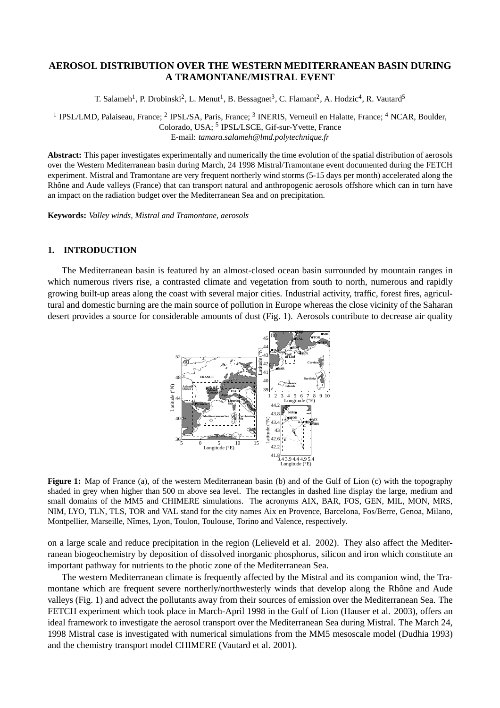# **AEROSOL DISTRIBUTION OVER THE WESTERN MEDITERRANEAN BASIN DURING A TRAMONTANE/MISTRAL EVENT**

T. Salameh<sup>1</sup>, P. Drobinski<sup>2</sup>, L. Menut<sup>1</sup>, B. Bessagnet<sup>3</sup>, C. Flamant<sup>2</sup>, A. Hodzic<sup>4</sup>, R. Vautard<sup>5</sup>

<sup>1</sup> IPSL/LMD, Palaiseau, France; <sup>2</sup> IPSL/SA, Paris, France; <sup>3</sup> INERIS, Verneuil en Halatte, France; <sup>4</sup> NCAR, Boulder, Colorado, USA; <sup>5</sup> IPSL/LSCE, Gif-sur-Yvette, France E-mail: *tamara.salameh@lmd.polytechnique.fr*

**Abstract:** This paper investigates experimentally and numerically the time evolution of the spatial distribution of aerosols over the Western Mediterranean basin during March, 24 1998 Mistral/Tramontane event documented during the FETCH experiment. Mistral and Tramontane are very frequent northerly wind storms (5-15 days per month) accelerated along the Rhône and Aude valleys (France) that can transport natural and anthropogenic aerosols offshore which can in turn have an impact on the radiation budget over the Mediterranean Sea and on precipitation.

**Keywords:** *Valley winds, Mistral and Tramontane, aerosols*

## **1. INTRODUCTION**

The Mediterranean basin is featured by an almost-closed ocean basin surrounded by mountain ranges in which numerous rivers rise, a contrasted climate and vegetation from south to north, numerous and rapidly growing built-up areas along the coast with several major cities. Industrial activity, traffic, forest fires, agricultural and domestic burning are the main source of pollution in Europe whereas the close vicinity of the Saharan desert provides a source for considerable amounts of dust (Fig. 1). Aerosols contribute to decrease air quality



**Figure 1:** Map of France (a), of the western Mediterranean basin (b) and of the Gulf of Lion (c) with the topography shaded in grey when higher than 500 m above sea level. The rectangles in dashed line display the large, medium and small domains of the MM5 and CHIMERE simulations. The acronyms AIX, BAR, FOS, GEN, MIL, MON, MRS, NIM, LYO, TLN, TLS, TOR and VAL stand for the city names Aix en Provence, Barcelona, Fos/Berre, Genoa, Milano, Montpellier, Marseille, Nîmes, Lyon, Toulon, Toulouse, Torino and Valence, respectively.

on a large scale and reduce precipitation in the region (Lelieveld et al. 2002). They also affect the Mediterranean biogeochemistry by deposition of dissolved inorganic phosphorus, silicon and iron which constitute an important pathway for nutrients to the photic zone of the Mediterranean Sea.

The western Mediterranean climate is frequently affected by the Mistral and its companion wind, the Tramontane which are frequent severe northerly/northwesterly winds that develop along the Rhône and Aude valleys (Fig. 1) and advect the pollutants away from their sources of emission over the Mediterranean Sea. The FETCH experiment which took place in March-April 1998 in the Gulf of Lion (Hauser et al. 2003), offers an ideal framework to investigate the aerosol transport over the Mediterranean Sea during Mistral. The March 24, 1998 Mistral case is investigated with numerical simulations from the MM5 mesoscale model (Dudhia 1993) and the chemistry transport model CHIMERE (Vautard et al. 2001).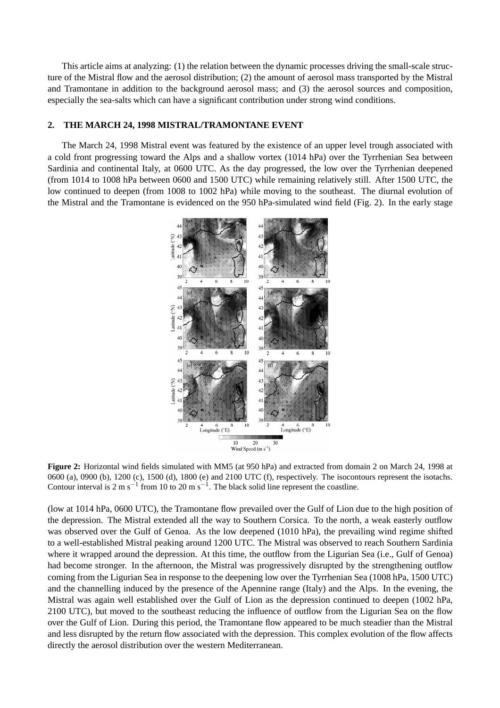This article aims at analyzing: (1) the relation between the dynamic processes driving the small-scale structure of the Mistral flow and the aerosol distribution; (2) the amount of aerosol mass transported by the Mistral and Tramontane in addition to the background aerosol mass; and (3) the aerosol sources and composition, especially the sea-salts which can have a significant contribution under strong wind conditions.

## **2. THE MARCH 24, 1998 MISTRAL/TRAMONTANE EVENT**

The March 24, 1998 Mistral event was featured by the existence of an upper level trough associated with a cold front progressing toward the Alps and a shallow vortex (1014 hPa) over the Tyrrhenian Sea between Sardinia and continental Italy, at 0600 UTC. As the day progressed, the low over the Tyrrhenian deepened (from 1014 to 1008 hPa between 0600 and 1500 UTC) while remaining relatively still. After 1500 UTC, the low continued to deepen (from 1008 to 1002 hPa) while moving to the southeast. The diurnal evolution of the Mistral and the Tramontane is evidenced on the 950 hPa-simulated wind field (Fig. 2). In the early stage



**Figure 2:** Horizontal wind fields simulated with MM5 (at 950 hPa) and extracted from domain 2 on March 24, 1998 at 0600 (a), 0900 (b), 1200 (c), 1500 (d), 1800 (e) and 2100 UTC (f), respectively. The isocontours represent the isotachs. Contour interval is 2 m s<sup>-1</sup> from 10 to 20 m s<sup>-1</sup>. The black solid line represent the coastline.

(low at 1014 hPa, 0600 UTC), the Tramontane flow prevailed over the Gulf of Lion due to the high position of the depression. The Mistral extended all the way to Southern Corsica. To the north, a weak easterly outflow was observed over the Gulf of Genoa. As the low deepened (1010 hPa), the prevailing wind regime shifted to a well-established Mistral peaking around 1200 UTC. The Mistral was observed to reach Southern Sardinia where it wrapped around the depression. At this time, the outflow from the Ligurian Sea (i.e., Gulf of Genoa) had become stronger. In the afternoon, the Mistral was progressively disrupted by the strengthening outflow coming from the Ligurian Sea in response to the deepening low over the Tyrrhenian Sea (1008 hPa, 1500 UTC) and the channelling induced by the presence of the Apennine range (Italy) and the Alps. In the evening, the Mistral was again well established over the Gulf of Lion as the depression continued to deepen (1002 hPa, 2100 UTC), but moved to the southeast reducing the influence of outflow from the Ligurian Sea on the flow over the Gulf of Lion. During this period, the Tramontane flow appeared to be much steadier than the Mistral and less disrupted by the return flow associated with the depression. This complex evolution of the flow affects directly the aerosol distribution over the western Mediterranean.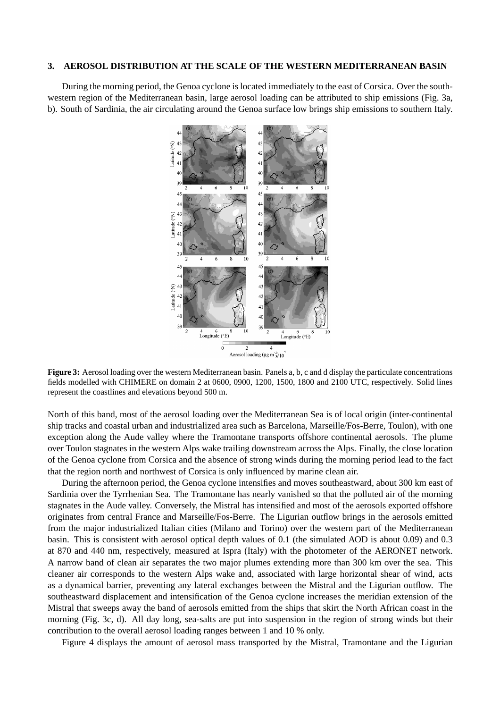#### **3. AEROSOL DISTRIBUTION AT THE SCALE OF THE WESTERN MEDITERRANEAN BASIN**

During the morning period, the Genoa cyclone is located immediately to the east of Corsica. Over the southwestern region of the Mediterranean basin, large aerosol loading can be attributed to ship emissions (Fig. 3a, b). South of Sardinia, the air circulating around the Genoa surface low brings ship emissions to southern Italy.



**Figure 3:** Aerosol loading over the western Mediterranean basin. Panels a, b, c and d display the particulate concentrations fields modelled with CHIMERE on domain 2 at 0600, 0900, 1200, 1500, 1800 and 2100 UTC, respectively. Solid lines represent the coastlines and elevations beyond 500 m.

North of this band, most of the aerosol loading over the Mediterranean Sea is of local origin (inter-continental ship tracks and coastal urban and industrialized area such as Barcelona, Marseille/Fos-Berre, Toulon), with one exception along the Aude valley where the Tramontane transports offshore continental aerosols. The plume over Toulon stagnates in the western Alps wake trailing downstream across the Alps. Finally, the close location of the Genoa cyclone from Corsica and the absence of strong winds during the morning period lead to the fact that the region north and northwest of Corsica is only influenced by marine clean air.

During the afternoon period, the Genoa cyclone intensifies and moves southeastward, about 300 km east of Sardinia over the Tyrrhenian Sea. The Tramontane has nearly vanished so that the polluted air of the morning stagnates in the Aude valley. Conversely, the Mistral has intensified and most of the aerosols exported offshore originates from central France and Marseille/Fos-Berre. The Ligurian outflow brings in the aerosols emitted from the major industrialized Italian cities (Milano and Torino) over the western part of the Mediterranean basin. This is consistent with aerosol optical depth values of 0.1 (the simulated AOD is about 0.09) and 0.3 at 870 and 440 nm, respectively, measured at Ispra (Italy) with the photometer of the AERONET network. A narrow band of clean air separates the two major plumes extending more than 300 km over the sea. This cleaner air corresponds to the western Alps wake and, associated with large horizontal shear of wind, acts as a dynamical barrier, preventing any lateral exchanges between the Mistral and the Ligurian outflow. The southeastward displacement and intensification of the Genoa cyclone increases the meridian extension of the Mistral that sweeps away the band of aerosols emitted from the ships that skirt the North African coast in the morning (Fig. 3c, d). All day long, sea-salts are put into suspension in the region of strong winds but their contribution to the overall aerosol loading ranges between 1 and 10 % only.

Figure 4 displays the amount of aerosol mass transported by the Mistral, Tramontane and the Ligurian